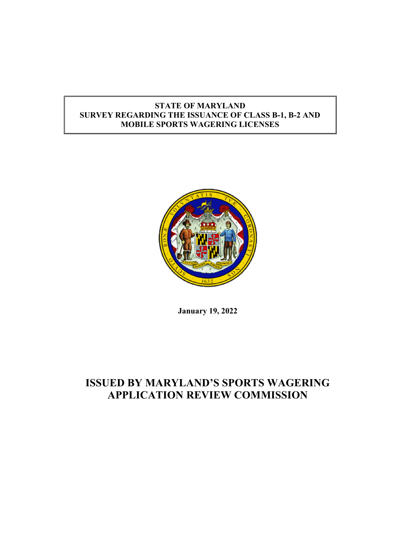# STATE OF MARYLAND SURVEY REGARDING THE ISSUANCE OF CLASS B-1, B-2 AND MOBILE SPORTS WAGERING LICENSES



January 19, 2022

# ISSUED BY MARYLAND'S SPORTS WAGERING APPLICATION REVIEW COMMISSION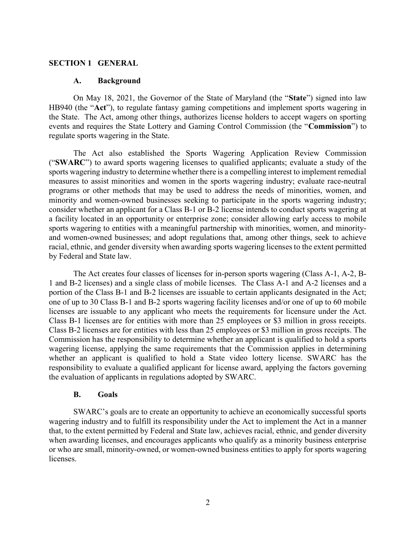#### SECTION 1 GENERAL

#### A. Background

 On May 18, 2021, the Governor of the State of Maryland (the "State") signed into law HB940 (the "Act"), to regulate fantasy gaming competitions and implement sports wagering in the State. The Act, among other things, authorizes license holders to accept wagers on sporting events and requires the State Lottery and Gaming Control Commission (the "Commission") to regulate sports wagering in the State.

The Act also established the Sports Wagering Application Review Commission ("SWARC") to award sports wagering licenses to qualified applicants; evaluate a study of the sports wagering industry to determine whether there is a compelling interest to implement remedial measures to assist minorities and women in the sports wagering industry; evaluate race-neutral programs or other methods that may be used to address the needs of minorities, women, and minority and women-owned businesses seeking to participate in the sports wagering industry; consider whether an applicant for a Class B-1 or B-2 license intends to conduct sports wagering at a facility located in an opportunity or enterprise zone; consider allowing early access to mobile sports wagering to entities with a meaningful partnership with minorities, women, and minorityand women-owned businesses; and adopt regulations that, among other things, seek to achieve racial, ethnic, and gender diversity when awarding sports wagering licenses to the extent permitted by Federal and State law.

The Act creates four classes of licenses for in-person sports wagering (Class A-1, A-2, B-1 and B-2 licenses) and a single class of mobile licenses. The Class A-1 and A-2 licenses and a portion of the Class B-1 and B-2 licenses are issuable to certain applicants designated in the Act; one of up to 30 Class B-1 and B-2 sports wagering facility licenses and/or one of up to 60 mobile licenses are issuable to any applicant who meets the requirements for licensure under the Act. Class B-1 licenses are for entities with more than 25 employees or \$3 million in gross receipts. Class B-2 licenses are for entities with less than 25 employees or \$3 million in gross receipts. The Commission has the responsibility to determine whether an applicant is qualified to hold a sports wagering license, applying the same requirements that the Commission applies in determining whether an applicant is qualified to hold a State video lottery license. SWARC has the responsibility to evaluate a qualified applicant for license award, applying the factors governing the evaluation of applicants in regulations adopted by SWARC.

#### B. Goals

 SWARC's goals are to create an opportunity to achieve an economically successful sports wagering industry and to fulfill its responsibility under the Act to implement the Act in a manner that, to the extent permitted by Federal and State law, achieves racial, ethnic, and gender diversity when awarding licenses, and encourages applicants who qualify as a minority business enterprise or who are small, minority-owned, or women-owned business entities to apply for sports wagering licenses.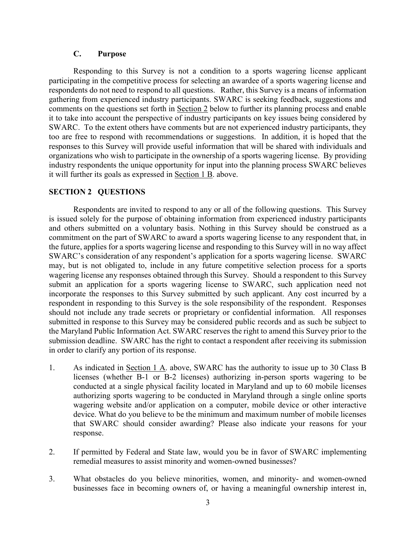## C. Purpose

 Responding to this Survey is not a condition to a sports wagering license applicant participating in the competitive process for selecting an awardee of a sports wagering license and respondents do not need to respond to all questions. Rather, this Survey is a means of information gathering from experienced industry participants. SWARC is seeking feedback, suggestions and comments on the questions set forth in Section 2 below to further its planning process and enable it to take into account the perspective of industry participants on key issues being considered by SWARC. To the extent others have comments but are not experienced industry participants, they too are free to respond with recommendations or suggestions. In addition, it is hoped that the responses to this Survey will provide useful information that will be shared with individuals and organizations who wish to participate in the ownership of a sports wagering license. By providing industry respondents the unique opportunity for input into the planning process SWARC believes it will further its goals as expressed in Section 1 B. above.

### SECTION 2 QUESTIONS

Respondents are invited to respond to any or all of the following questions. This Survey is issued solely for the purpose of obtaining information from experienced industry participants and others submitted on a voluntary basis. Nothing in this Survey should be construed as a commitment on the part of SWARC to award a sports wagering license to any respondent that, in the future, applies for a sports wagering license and responding to this Survey will in no way affect SWARC's consideration of any respondent's application for a sports wagering license. SWARC may, but is not obligated to, include in any future competitive selection process for a sports wagering license any responses obtained through this Survey. Should a respondent to this Survey submit an application for a sports wagering license to SWARC, such application need not incorporate the responses to this Survey submitted by such applicant. Any cost incurred by a respondent in responding to this Survey is the sole responsibility of the respondent. Responses should not include any trade secrets or proprietary or confidential information. All responses submitted in response to this Survey may be considered public records and as such be subject to the Maryland Public Information Act. SWARC reserves the right to amend this Survey prior to the submission deadline. SWARC has the right to contact a respondent after receiving its submission in order to clarify any portion of its response.

- 1. As indicated in Section 1 A. above, SWARC has the authority to issue up to 30 Class B licenses (whether B-1 or B-2 licenses) authorizing in-person sports wagering to be conducted at a single physical facility located in Maryland and up to 60 mobile licenses authorizing sports wagering to be conducted in Maryland through a single online sports wagering website and/or application on a computer, mobile device or other interactive device. What do you believe to be the minimum and maximum number of mobile licenses that SWARC should consider awarding? Please also indicate your reasons for your response.
- 2. If permitted by Federal and State law, would you be in favor of SWARC implementing remedial measures to assist minority and women-owned businesses?
- 3. What obstacles do you believe minorities, women, and minority- and women-owned businesses face in becoming owners of, or having a meaningful ownership interest in,